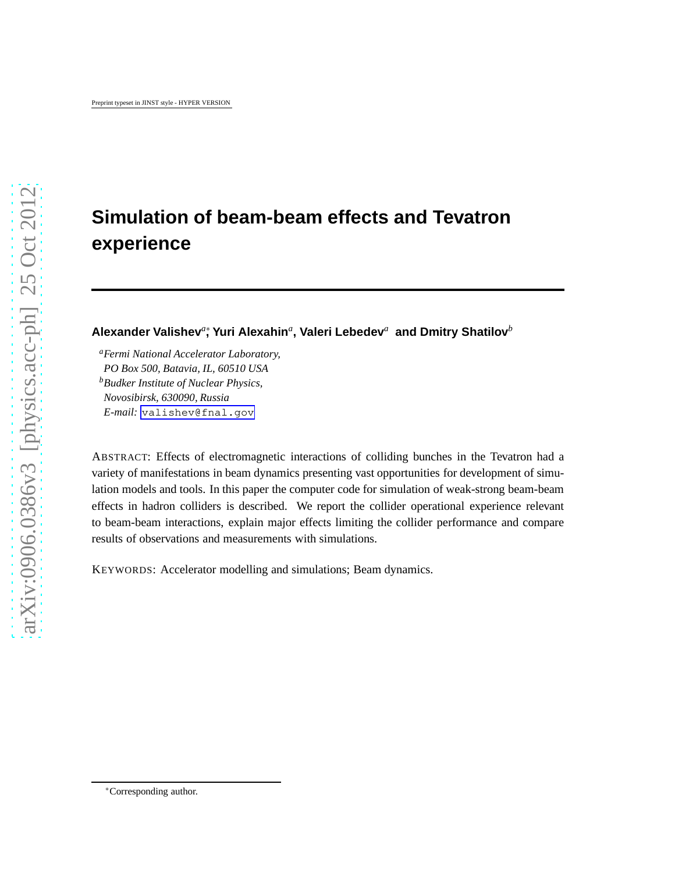# **Simulation of beam-beam effects and Tevatron experience**

# **Alexander Valishev***a*<sup>∗</sup> **, Yuri Alexahin***<sup>a</sup>* **, Valeri Lebedev***<sup>a</sup>* **and Dmitry Shatilov***<sup>b</sup>*

*<sup>a</sup>Fermi National Accelerator Laboratory, PO Box 500, Batavia, IL, 60510 USA <sup>b</sup>Budker Institute of Nuclear Physics, Novosibirsk, 630090, Russia E-mail:* [valishev@fnal.gov](mailto:valishev@fnal.gov)

ABSTRACT: Effects of electromagnetic interactions of colliding bunches in the Tevatron had a variety of manifestations in beam dynamics presenting vast opportunities for development of simulation models and tools. In this paper the computer code for simulation of weak-strong beam-beam effects in hadron colliders is described. We report the collider operational experience relevant to beam-beam interactions, explain major effects limiting the collider performance and compare results of observations and measurements with simulations.

KEYWORDS: Accelerator modelling and simulations; Beam dynamics.

<sup>∗</sup>Corresponding author.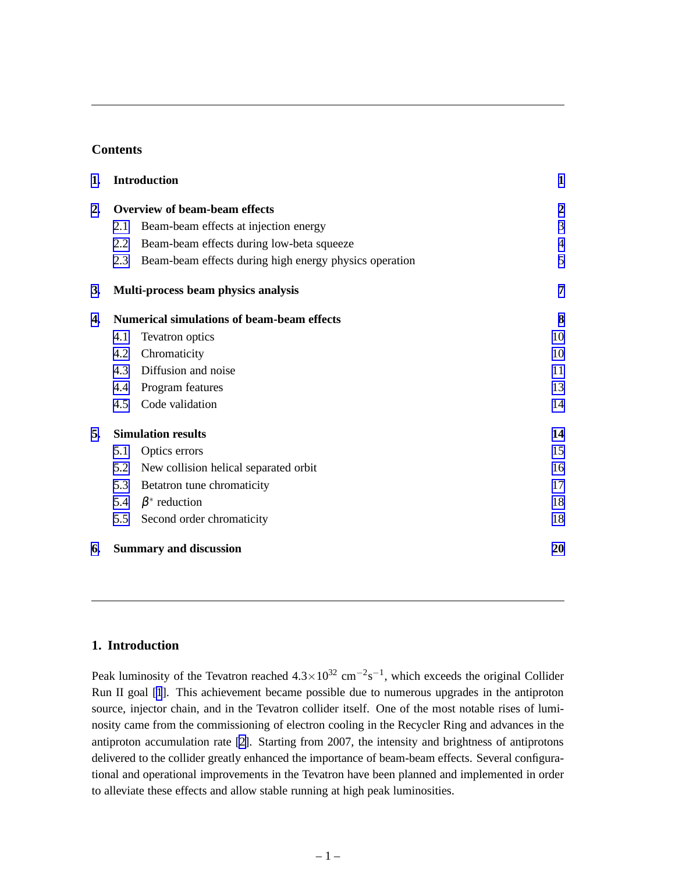## **Contents**

| 1. | <b>Introduction</b>                               | $\mathbf{1}$                                           |                  |
|----|---------------------------------------------------|--------------------------------------------------------|------------------|
| 2. |                                                   | <b>Overview of beam-beam effects</b>                   | $\boldsymbol{2}$ |
|    | 2.1                                               | Beam-beam effects at injection energy                  | 3                |
|    | 2.2                                               | Beam-beam effects during low-beta squeeze              | 4                |
|    | 2.3                                               | Beam-beam effects during high energy physics operation | 5                |
| 3. |                                                   | Multi-process beam physics analysis                    | $\overline{7}$   |
| 4. | <b>Numerical simulations of beam-beam effects</b> | 8                                                      |                  |
|    | 4.1                                               | Tevatron optics                                        | 10               |
|    | 4.2                                               | Chromaticity                                           | 10               |
|    | 4.3                                               | Diffusion and noise                                    | 11               |
|    | 4.4                                               | Program features                                       | 13               |
|    | 4.5                                               | Code validation                                        | 14               |
| 5. | <b>Simulation results</b>                         | 14                                                     |                  |
|    | 5.1                                               | Optics errors                                          | 15               |
|    | 5.2                                               | New collision helical separated orbit                  | 16               |
|    | 5.3                                               | Betatron tune chromaticity                             | 17               |
|    | 5.4                                               | $\beta^*$ reduction                                    | 18               |
|    | 5.5                                               | Second order chromaticity                              | 18               |
| 6. | <b>Summary and discussion</b>                     |                                                        |                  |

## **1. Introduction**

Peak luminosity of the Tevatron reached  $4.3 \times 10^{32}$  cm<sup>-2</sup>s<sup>-1</sup>, which exceeds the original Collider Run II goal [[1](#page-21-0)]. This achievement became possible due to numerous upgrades in the antiproton source, injector chain, and in the Tevatron collider itself. One of the most notable rises of luminosity came from the commissioning of electron cooling in the Recycler Ring and advances in the antiproton accumulation rate [\[2\]](#page-21-0). Starting from 2007, the intensity and brightness of antiprotons delivered to the collider greatly enhanced the importance of beam-beam effects. Several configurational and operational improvements in the Tevatron have been planned and implemented in order to alleviate these effects and allow stable running at high peak luminosities.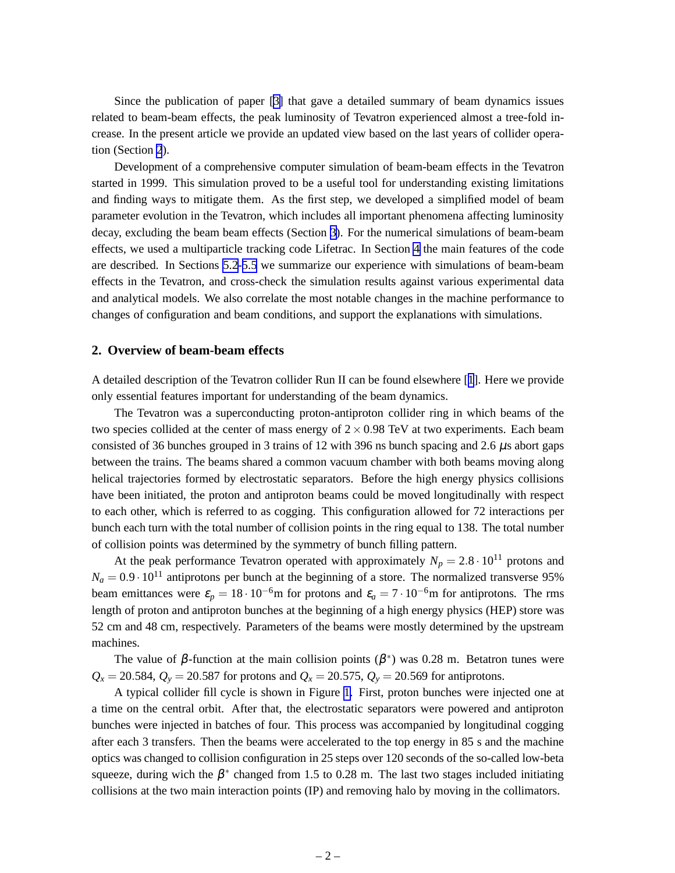<span id="page-2-0"></span>Since the publication of paper [\[3\]](#page-21-0) that gave a detailed summary of beam dynamics issues related to beam-beam effects, the peak luminosity of Tevatron experienced almost a tree-fold increase. In the present article we provide an updated view based on the last years of collider operation (Section 2).

Development of a comprehensive computer simulation of beam-beam effects in the Tevatron started in 1999. This simulation proved to be a useful tool for understanding existing limitations and finding ways to mitigate them. As the first step, we developed a simplified model of beam parameter evolution in the Tevatron, which includes all important phenomena affecting luminosity decay, excluding the beam beam effects (Section [3](#page-7-0)). For the numerical simulations of beam-beam effects, we used a multiparticle tracking code Lifetrac. In Section [4](#page-8-0) the main features of the code are described. In Sections [5.2](#page-16-0)-[5.5](#page-18-0) we summarize our experience with simulations of beam-beam effects in the Tevatron, and cross-check the simulation results against various experimental data and analytical models. We also correlate the most notable changes in the machine performance to changes of configuration and beam conditions, and support the explanations with simulations.

#### **2. Overview of beam-beam effects**

A detailed description of the Tevatron collider Run II can be found elsewhere [[1](#page-21-0)]. Here we provide only essential features important for understanding of the beam dynamics.

The Tevatron was a superconducting proton-antiproton collider ring in which beams of the two species collided at the center of mass energy of  $2 \times 0.98$  TeV at two experiments. Each beam consisted of 36 bunches grouped in 3 trains of 12 with 396 ns bunch spacing and 2.6  $\mu$ s abort gaps between the trains. The beams shared a common vacuum chamber with both beams moving along helical trajectories formed by electrostatic separators. Before the high energy physics collisions have been initiated, the proton and antiproton beams could be moved longitudinally with respect to each other, which is referred to as cogging. This configuration allowed for 72 interactions per bunch each turn with the total number of collision points in the ring equal to 138. The total number of collision points was determined by the symmetry of bunch filling pattern.

At the peak performance Tevatron operated with approximately  $N_p = 2.8 \cdot 10^{11}$  protons and  $N_a = 0.9 \cdot 10^{11}$  antiprotons per bunch at the beginning of a store. The normalized transverse 95% beam emittances were  $\varepsilon_p = 18 \cdot 10^{-6}$ m for protons and  $\varepsilon_a = 7 \cdot 10^{-6}$ m for antiprotons. The rms length of proton and antiproton bunches at the beginning of a high energy physics (HEP) store was 52 cm and 48 cm, respectively. Parameters of the beams were mostly determined by the upstream machines.

The value of  $\beta$ -function at the main collision points ( $\beta^*$ ) was 0.28 m. Betatron tunes were  $Q_x = 20.584$ ,  $Q_y = 20.587$  for protons and  $Q_x = 20.575$ ,  $Q_y = 20.569$  for antiprotons.

A typical collider fill cycle is shown in Figure [1.](#page-3-0) First, proton bunches were injected one at a time on the central orbit. After that, the electrostatic separators were powered and antiproton bunches were injected in batches of four. This process was accompanied by longitudinal cogging after each 3 transfers. Then the beams were accelerated to the top energy in 85 s and the machine optics was changed to collision configuration in 25 steps over 120 seconds of the so-called low-beta squeeze, during wich the  $\beta^*$  changed from 1.5 to 0.28 m. The last two stages included initiating collisions at the two main interaction points (IP) and removing halo by moving in the collimators.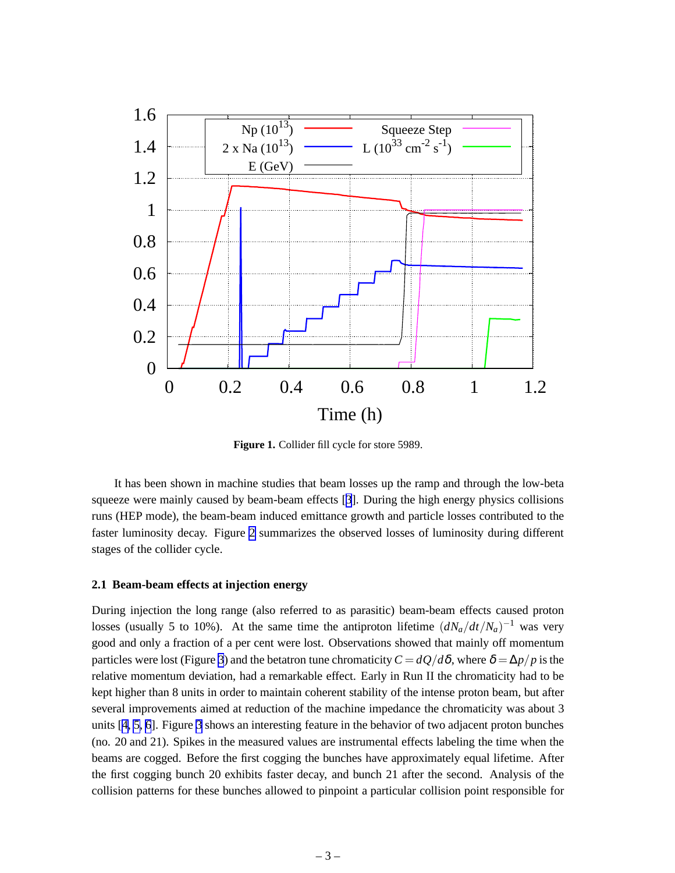<span id="page-3-0"></span>

**Figure 1.** Collider fill cycle for store 5989.

It has been shown in machine studies that beam losses up the ramp and through the low-beta squeeze were mainly caused by beam-beam effects [[3](#page-21-0)]. During the high energy physics collisions runs (HEP mode), the beam-beam induced emittance growth and particle losses contributed to the faster luminosity decay. Figure [2](#page-4-0) summarizes the observed losses of luminosity during different stages of the collider cycle.

#### **2.1 Beam-beam effects at injection energy**

During injection the long range (also referred to as parasitic) beam-beam effects caused proton losses (usually 5 to 10%). At the same time the antiproton lifetime  $(dN_a/dt/N_a)^{-1}$  was very good and only a fraction of a per cent were lost. Observations showed that mainly off momentum particles were lost (Figure [3](#page-5-0)) and the betatron tune chromaticity  $C = dQ/d\delta$ , where  $\delta = \Delta p/p$  is the relative momentum deviation, had a remarkable effect. Early in Run II the chromaticity had to be kept higher than 8 units in order to maintain coherent stability of the intense proton beam, but after several improvements aimed at reduction of the machine impedance the chromaticity was about 3 units [[4](#page-22-0), [5, 6](#page-22-0)]. Figure [3](#page-5-0) shows an interesting feature in the behavior of two adjacent proton bunches (no. 20 and 21). Spikes in the measured values are instrumental effects labeling the time when the beams are cogged. Before the first cogging the bunches have approximately equal lifetime. After the first cogging bunch 20 exhibits faster decay, and bunch 21 after the second. Analysis of the collision patterns for these bunches allowed to pinpoint a particular collision point responsible for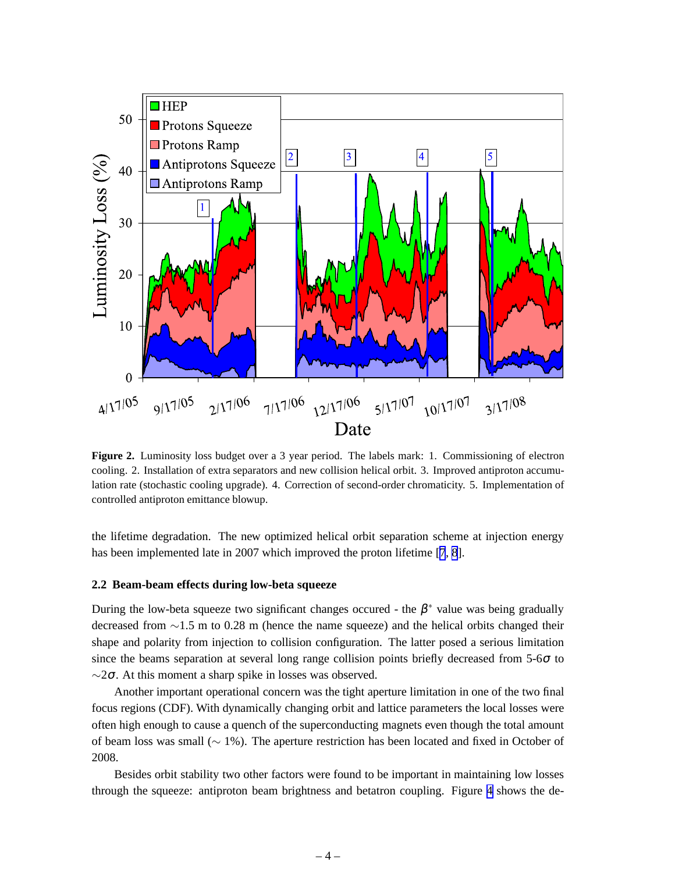<span id="page-4-0"></span>

**Figure 2.** Luminosity loss budget over a 3 year period. The labels mark: 1. Commissioning of electron cooling. 2. Installation of extra separators and new collision helical orbit. 3. Improved antiproton accumulation rate (stochastic cooling upgrade). 4. Correction of second-order chromaticity. 5. Implementation of controlled antiproton emittance blowup.

the lifetime degradation. The new optimized helical orbit separation scheme at injection energy has been implemented late in 2007 which improved the proton lifetime [\[7](#page-22-0), [8](#page-22-0)].

#### **2.2 Beam-beam effects during low-beta squeeze**

During the low-beta squeeze two significant changes occured - the  $\beta^*$  value was being gradually decreased from ∼1.5 m to 0.28 m (hence the name squeeze) and the helical orbits changed their shape and polarity from injection to collision configuration. The latter posed a serious limitation since the beams separation at several long range collision points briefly decreased from  $5-6\sigma$  to  $\sim$ 2 $\sigma$ . At this moment a sharp spike in losses was observed.

Another important operational concern was the tight aperture limitation in one of the two final focus regions (CDF). With dynamically changing orbit and lattice parameters the local losses were often high enough to cause a quench of the superconducting magnets even though the total amount of beam loss was small (∼ 1%). The aperture restriction has been located and fixed in October of 2008.

Besides orbit stability two other factors were found to be important in maintaining low losses through the squeeze: antiproton beam brightness and betatron coupling. Figure [4](#page-6-0) shows the de-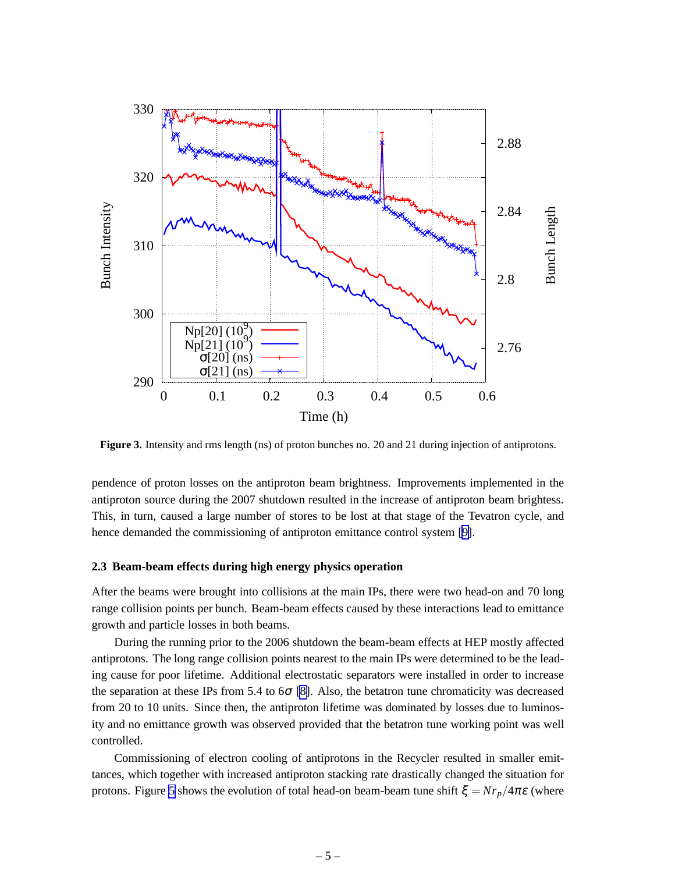<span id="page-5-0"></span>

**Figure 3.** Intensity and rms length (ns) of proton bunches no. 20 and 21 during injection of antiprotons.

pendence of proton losses on the antiproton beam brightness. Improvements implemented in the antiproton source during the 2007 shutdown resulted in the increase of antiproton beam brightess. This, in turn, caused a large number of stores to be lost at that stage of the Tevatron cycle, and hence demanded the commissioning of antiproton emittance control system [\[9\]](#page-22-0).

#### **2.3 Beam-beam effects during high energy physics operation**

After the beams were brought into collisions at the main IPs, there were two head-on and 70 long range collision points per bunch. Beam-beam effects caused by these interactions lead to emittance growth and particle losses in both beams.

During the running prior to the 2006 shutdown the beam-beam effects at HEP mostly affected antiprotons. The long range collision points nearest to the main IPs were determined to be the leading cause for poor lifetime. Additional electrostatic separators were installed in order to increase the separation at these IPs from 5.4 to 6 $\sigma$  [\[8\]](#page-22-0). Also, the betatron tune chromaticity was decreased from 20 to 10 units. Since then, the antiproton lifetime was dominated by losses due to luminosity and no emittance growth was observed provided that the betatron tune working point was well controlled.

Commissioning of electron cooling of antiprotons in the Recycler resulted in smaller emittances, which together with increased antiproton stacking rate drastically changed the situation for protons. Figure [5](#page-7-0) shows the evolution of total head-on beam-beam tune shift  $\xi = Nr_p/4\pi\varepsilon$  (where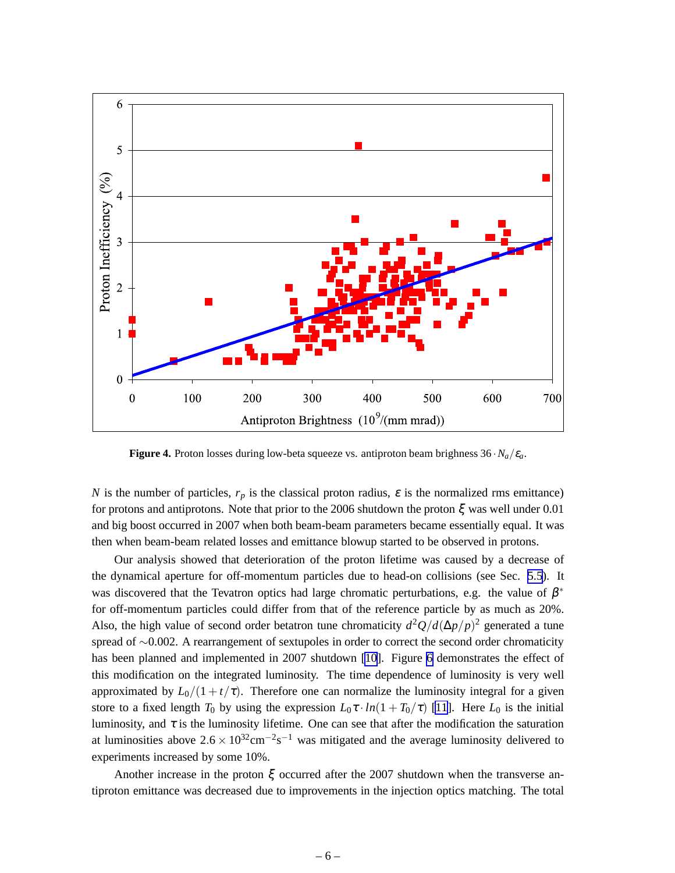<span id="page-6-0"></span>

**Figure 4.** Proton losses during low-beta squeeze vs. antiproton beam brighness  $36 \cdot N_a/\varepsilon_a$ .

*N* is the number of particles,  $r_p$  is the classical proton radius,  $\varepsilon$  is the normalized rms emittance) for protons and antiprotons. Note that prior to the 2006 shutdown the proton  $\xi$  was well under 0.01 and big boost occurred in 2007 when both beam-beam parameters became essentially equal. It was then when beam-beam related losses and emittance blowup started to be observed in protons.

Our analysis showed that deterioration of the proton lifetime was caused by a decrease of the dynamical aperture for off-momentum particles due to head-on collisions (see Sec. [5.5](#page-18-0)). It was discovered that the Tevatron optics had large chromatic perturbations, e.g. the value of  $\beta^*$ for off-momentum particles could differ from that of the reference particle by as much as 20%. Also, the high value of second order betatron tune chromaticity  $d^2Q/d(\Delta p/p)^2$  generated a tune spread of ∼0.002. A rearrangement of sextupoles in order to correct the second order chromaticity has been planned and implemented in 2007 shutdown [\[10](#page-22-0)]. Figure [6](#page-8-0) demonstrates the effect of this modification on the integrated luminosity. The time dependence of luminosity is very well approximated by  $L_0/(1 + t/\tau)$ . Therefore one can normalize the luminosity integral for a given store to a fixed length  $T_0$  by using the expression  $L_0\tau \cdot ln(1 + T_0/\tau)$  [\[11](#page-22-0)]. Here  $L_0$  is the initial luminosity, and  $\tau$  is the luminosity lifetime. One can see that after the modification the saturation at luminosities above  $2.6 \times 10^{32}$ cm<sup>-2</sup>s<sup>-1</sup> was mitigated and the average luminosity delivered to experiments increased by some 10%.

Another increase in the proton  $\xi$  occurred after the 2007 shutdown when the transverse antiproton emittance was decreased due to improvements in the injection optics matching. The total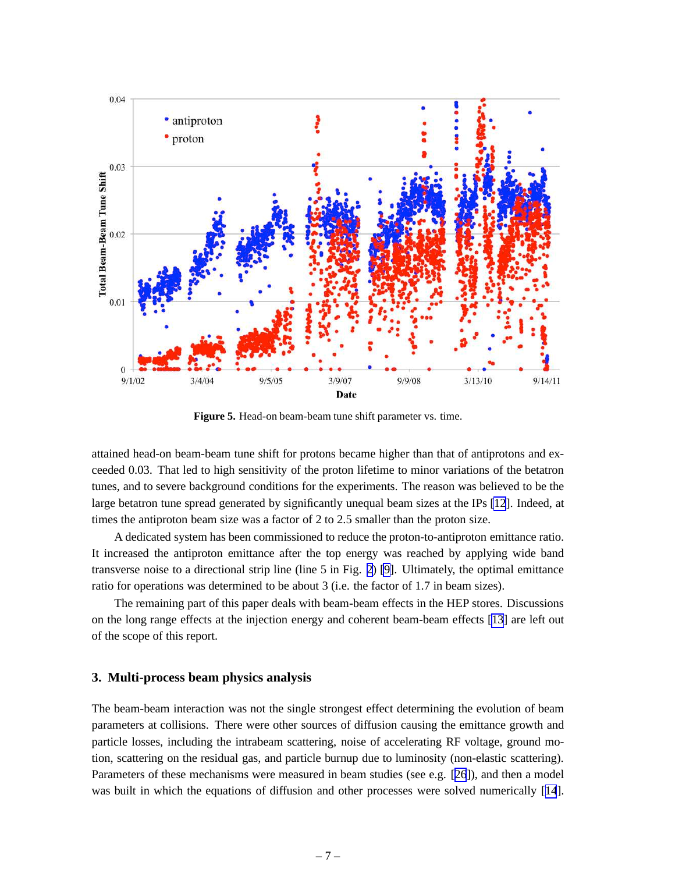<span id="page-7-0"></span>

**Figure 5.** Head-on beam-beam tune shift parameter vs. time.

attained head-on beam-beam tune shift for protons became higher than that of antiprotons and exceeded 0.03. That led to high sensitivity of the proton lifetime to minor variations of the betatron tunes, and to severe background conditions for the experiments. The reason was believed to be the large betatron tune spread generated by significantly unequal beam sizes at the IPs [\[12](#page-22-0)]. Indeed, at times the antiproton beam size was a factor of 2 to 2.5 smaller than the proton size.

A dedicated system has been commissioned to reduce the proton-to-antiproton emittance ratio. It increased the antiproton emittance after the top energy was reached by applying wide band transverse noise to a directional strip line (line 5 in Fig. [2](#page-4-0)) [\[9](#page-22-0)]. Ultimately, the optimal emittance ratio for operations was determined to be about 3 (i.e. the factor of 1.7 in beam sizes).

The remaining part of this paper deals with beam-beam effects in the HEP stores. Discussions on the long range effects at the injection energy and coherent beam-beam effects [\[13](#page-22-0)] are left out of the scope of this report.

#### **3. Multi-process beam physics analysis**

The beam-beam interaction was not the single strongest effect determining the evolution of beam parameters at collisions. There were other sources of diffusion causing the emittance growth and particle losses, including the intrabeam scattering, noise of accelerating RF voltage, ground motion, scattering on the residual gas, and particle burnup due to luminosity (non-elastic scattering). Parameters of these mechanisms were measured in beam studies (see e.g. [[26](#page-23-0)]), and then a model was built in which the equations of diffusion and other processes were solved numerically [[14](#page-22-0)].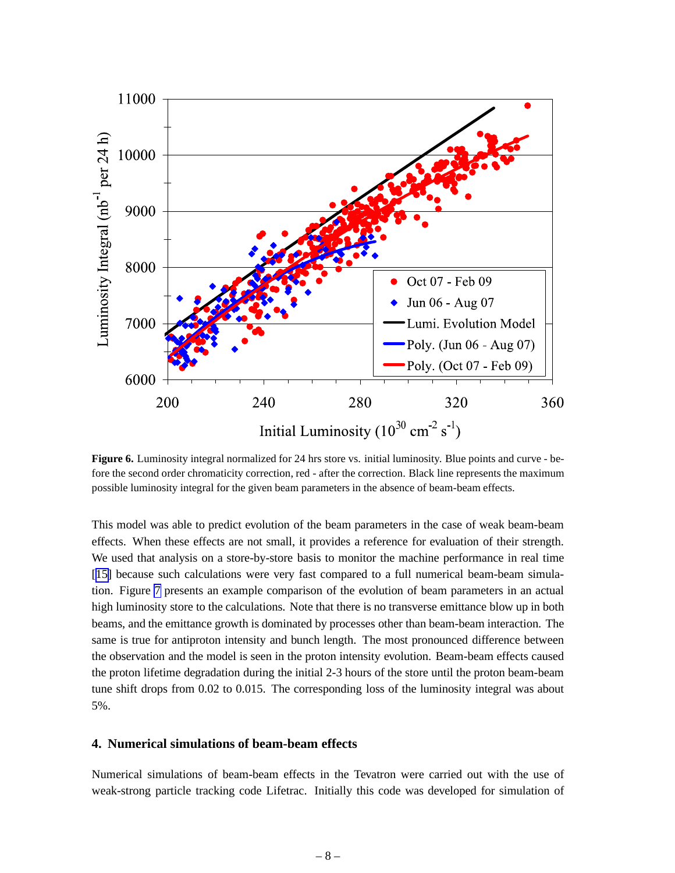<span id="page-8-0"></span>

**Figure 6.** Luminosity integral normalized for 24 hrs store vs. initial luminosity. Blue points and curve - before the second order chromaticity correction, red - after the correction. Black line represents the maximum possible luminosity integral for the given beam parameters in the absence of beam-beam effects.

This model was able to predict evolution of the beam parameters in the case of weak beam-beam effects. When these effects are not small, it provides a reference for evaluation of their strength. We used that analysis on a store-by-store basis to monitor the machine performance in real time [[15\]](#page-22-0) because such calculations were very fast compared to a full numerical beam-beam simulation. Figure [7](#page-9-0) presents an example comparison of the evolution of beam parameters in an actual high luminosity store to the calculations. Note that there is no transverse emittance blow up in both beams, and the emittance growth is dominated by processes other than beam-beam interaction. The same is true for antiproton intensity and bunch length. The most pronounced difference between the observation and the model is seen in the proton intensity evolution. Beam-beam effects caused the proton lifetime degradation during the initial 2-3 hours of the store until the proton beam-beam tune shift drops from 0.02 to 0.015. The corresponding loss of the luminosity integral was about 5%.

## **4. Numerical simulations of beam-beam effects**

Numerical simulations of beam-beam effects in the Tevatron were carried out with the use of weak-strong particle tracking code Lifetrac. Initially this code was developed for simulation of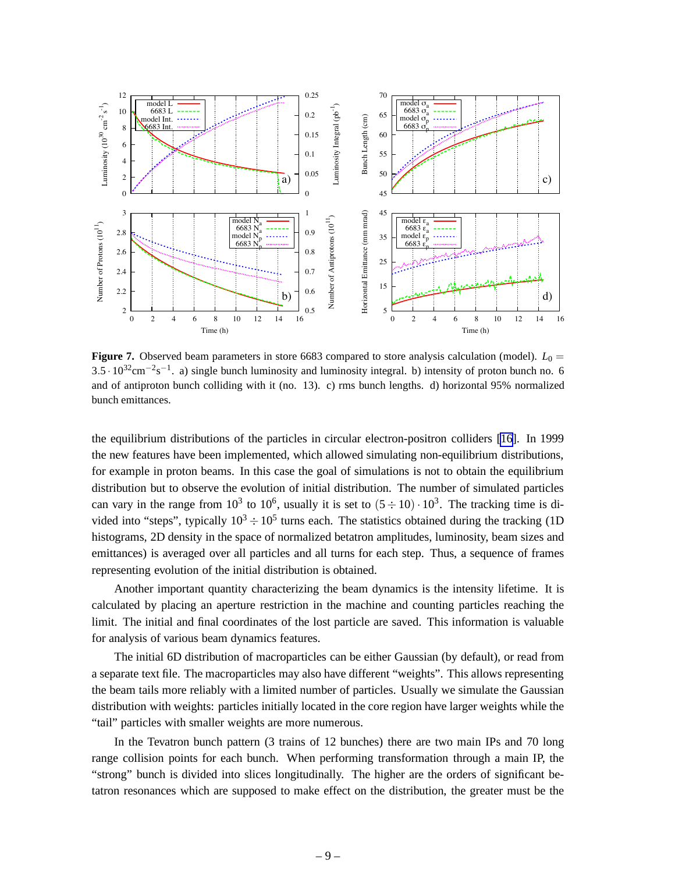<span id="page-9-0"></span>

**Figure 7.** Observed beam parameters in store 6683 compared to store analysis calculation (model).  $L_0 =$  $3.5 \cdot 10^{32}$ cm<sup>-2</sup>s<sup>-1</sup>. a) single bunch luminosity and luminosity integral. b) intensity of proton bunch no. 6 and of antiproton bunch colliding with it (no. 13). c) rms bunch lengths. d) horizontal 95% normalized bunch emittances.

the equilibrium distributions of the particles in circular electron-positron colliders [\[16](#page-22-0)]. In 1999 the new features have been implemented, which allowed simulating non-equilibrium distributions, for example in proton beams. In this case the goal of simulations is not to obtain the equilibrium distribution but to observe the evolution of initial distribution. The number of simulated particles can vary in the range from  $10^3$  to  $10^6$ , usually it is set to  $(5 \div 10) \cdot 10^3$ . The tracking time is divided into "steps", typically  $10^3 \div 10^5$  turns each. The statistics obtained during the tracking (1D) histograms, 2D density in the space of normalized betatron amplitudes, luminosity, beam sizes and emittances) is averaged over all particles and all turns for each step. Thus, a sequence of frames representing evolution of the initial distribution is obtained.

Another important quantity characterizing the beam dynamics is the intensity lifetime. It is calculated by placing an aperture restriction in the machine and counting particles reaching the limit. The initial and final coordinates of the lost particle are saved. This information is valuable for analysis of various beam dynamics features.

The initial 6D distribution of macroparticles can be either Gaussian (by default), or read from a separate text file. The macroparticles may also have different "weights". This allows representing the beam tails more reliably with a limited number of particles. Usually we simulate the Gaussian distribution with weights: particles initially located in the core region have larger weights while the "tail" particles with smaller weights are more numerous.

In the Tevatron bunch pattern (3 trains of 12 bunches) there are two main IPs and 70 long range collision points for each bunch. When performing transformation through a main IP, the "strong" bunch is divided into slices longitudinally. The higher are the orders of significant betatron resonances which are supposed to make effect on the distribution, the greater must be the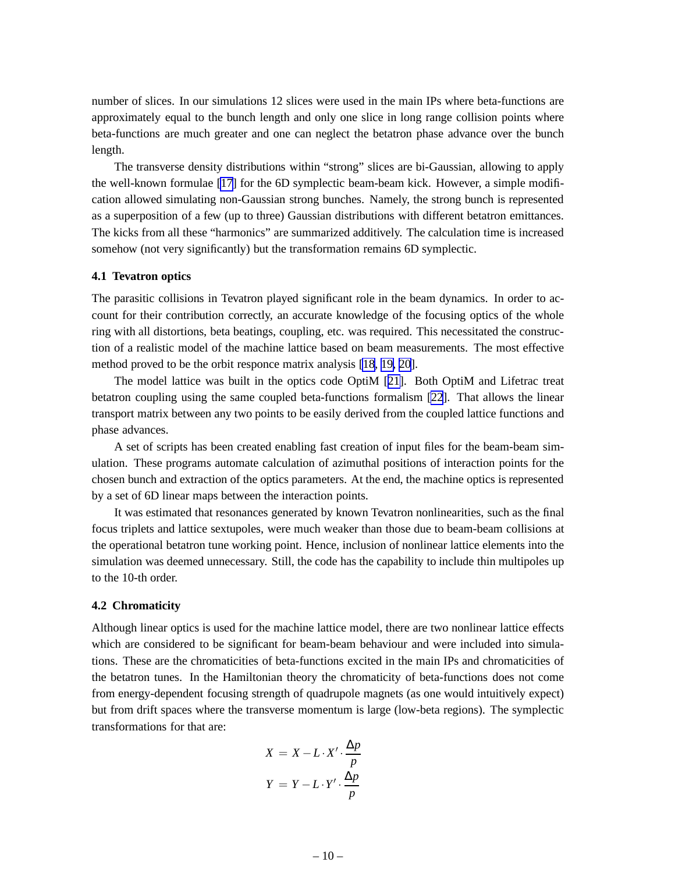<span id="page-10-0"></span>number of slices. In our simulations 12 slices were used in the main IPs where beta-functions are approximately equal to the bunch length and only one slice in long range collision points where beta-functions are much greater and one can neglect the betatron phase advance over the bunch length.

The transverse density distributions within "strong" slices are bi-Gaussian, allowing to apply the well-known formulae [\[17](#page-22-0)] for the 6D symplectic beam-beam kick. However, a simple modification allowed simulating non-Gaussian strong bunches. Namely, the strong bunch is represented as a superposition of a few (up to three) Gaussian distributions with different betatron emittances. The kicks from all these "harmonics" are summarized additively. The calculation time is increased somehow (not very significantly) but the transformation remains 6D symplectic.

#### **4.1 Tevatron optics**

The parasitic collisions in Tevatron played significant role in the beam dynamics. In order to account for their contribution correctly, an accurate knowledge of the focusing optics of the whole ring with all distortions, beta beatings, coupling, etc. was required. This necessitated the construction of a realistic model of the machine lattice based on beam measurements. The most effective method proved to be the orbit responce matrix analysis [\[18](#page-22-0), [19, 20\]](#page-22-0).

The model lattice was built in the optics code OptiM [[21\]](#page-22-0). Both OptiM and Lifetrac treat betatron coupling using the same coupled beta-functions formalism [\[22](#page-22-0)]. That allows the linear transport matrix between any two points to be easily derived from the coupled lattice functions and phase advances.

A set of scripts has been created enabling fast creation of input files for the beam-beam simulation. These programs automate calculation of azimuthal positions of interaction points for the chosen bunch and extraction of the optics parameters. At the end, the machine optics is represented by a set of 6D linear maps between the interaction points.

It was estimated that resonances generated by known Tevatron nonlinearities, such as the final focus triplets and lattice sextupoles, were much weaker than those due to beam-beam collisions at the operational betatron tune working point. Hence, inclusion of nonlinear lattice elements into the simulation was deemed unnecessary. Still, the code has the capability to include thin multipoles up to the 10-th order.

#### **4.2 Chromaticity**

Although linear optics is used for the machine lattice model, there are two nonlinear lattice effects which are considered to be significant for beam-beam behaviour and were included into simulations. These are the chromaticities of beta-functions excited in the main IPs and chromaticities of the betatron tunes. In the Hamiltonian theory the chromaticity of beta-functions does not come from energy-dependent focusing strength of quadrupole magnets (as one would intuitively expect) but from drift spaces where the transverse momentum is large (low-beta regions). The symplectic transformations for that are:

$$
X = X - L \cdot X' \cdot \frac{\Delta p}{p}
$$

$$
Y = Y - L \cdot Y' \cdot \frac{\Delta p}{p}
$$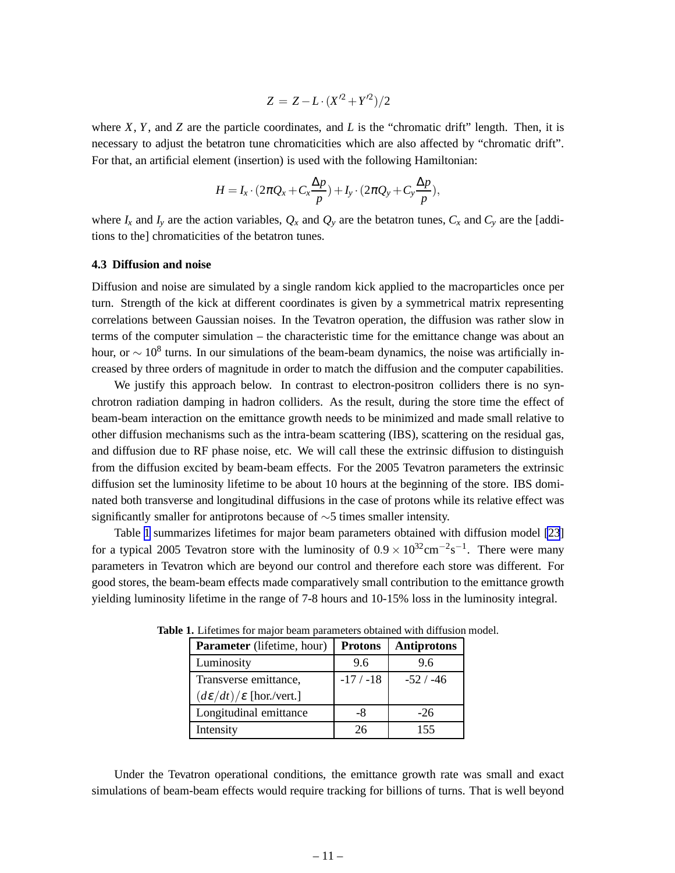$$
Z = Z - L \cdot (X^2 + Y^2)/2
$$

<span id="page-11-0"></span>where  $X$ ,  $Y$ , and  $Z$  are the particle coordinates, and  $L$  is the "chromatic drift" length. Then, it is necessary to adjust the betatron tune chromaticities which are also affected by "chromatic drift". For that, an artificial element (insertion) is used with the following Hamiltonian:

$$
H = I_x \cdot (2\pi Q_x + C_x \frac{\Delta p}{p}) + I_y \cdot (2\pi Q_y + C_y \frac{\Delta p}{p}),
$$

where  $I_x$  and  $I_y$  are the action variables,  $Q_x$  and  $Q_y$  are the betatron tunes,  $C_x$  and  $C_y$  are the [additions to the] chromaticities of the betatron tunes.

#### **4.3 Diffusion and noise**

Diffusion and noise are simulated by a single random kick applied to the macroparticles once per turn. Strength of the kick at different coordinates is given by a symmetrical matrix representing correlations between Gaussian noises. In the Tevatron operation, the diffusion was rather slow in terms of the computer simulation – the characteristic time for the emittance change was about an hour, or  $\sim 10^8$  turns. In our simulations of the beam-beam dynamics, the noise was artificially increased by three orders of magnitude in order to match the diffusion and the computer capabilities.

We justify this approach below. In contrast to electron-positron colliders there is no synchrotron radiation damping in hadron colliders. As the result, during the store time the effect of beam-beam interaction on the emittance growth needs to be minimized and made small relative to other diffusion mechanisms such as the intra-beam scattering (IBS), scattering on the residual gas, and diffusion due to RF phase noise, etc. We will call these the extrinsic diffusion to distinguish from the diffusion excited by beam-beam effects. For the 2005 Tevatron parameters the extrinsic diffusion set the luminosity lifetime to be about 10 hours at the beginning of the store. IBS dominated both transverse and longitudinal diffusions in the case of protons while its relative effect was significantly smaller for antiprotons because of ∼5 times smaller intensity.

Table 1 summarizes lifetimes for major beam parameters obtained with diffusion model [\[23](#page-23-0)] for a typical 2005 Tevatron store with the luminosity of  $0.9 \times 10^{32}$ cm<sup>-2</sup>s<sup>-1</sup>. There were many parameters in Tevatron which are beyond our control and therefore each store was different. For good stores, the beam-beam effects made comparatively small contribution to the emittance growth yielding luminosity lifetime in the range of 7-8 hours and 10-15% loss in the luminosity integral.

| Parameter (lifetime, hour)                   | <b>Protons</b> | <b>Antiprotons</b> |
|----------------------------------------------|----------------|--------------------|
| Luminosity                                   | 9.6            | 9.6                |
| Transverse emittance,                        | $-17/ -18$     | $-52/ -46$         |
| $(d\varepsilon/dt)/\varepsilon$ [hor./vert.] |                |                    |
| Longitudinal emittance                       | -8             | $-26$              |
| Intensity                                    | 26             | 155                |

**Table 1.** Lifetimes for major beam parameters obtained with diffusion model.

Under the Tevatron operational conditions, the emittance growth rate was small and exact simulations of beam-beam effects would require tracking for billions of turns. That is well beyond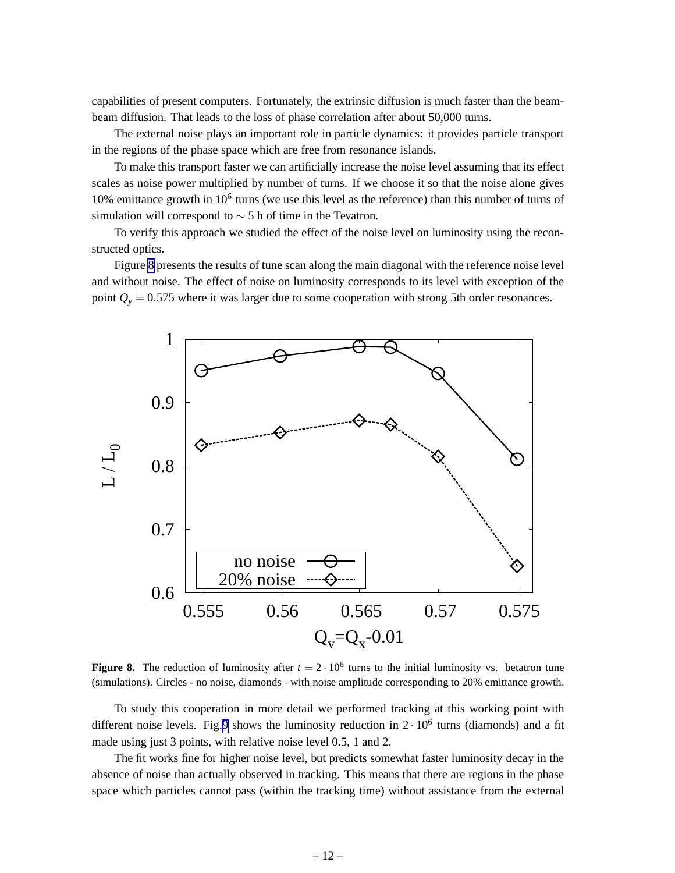capabilities of present computers. Fortunately, the extrinsic diffusion is much faster than the beambeam diffusion. That leads to the loss of phase correlation after about 50,000 turns.

The external noise plays an important role in particle dynamics: it provides particle transport in the regions of the phase space which are free from resonance islands.

To make this transport faster we can artificially increase the noise level assuming that its effect scales as noise power multiplied by number of turns. If we choose it so that the noise alone gives 10% emittance growth in 10<sup>6</sup> turns (we use this level as the reference) than this number of turns of simulation will correspond to  $\sim$  5 h of time in the Tevatron.

To verify this approach we studied the effect of the noise level on luminosity using the reconstructed optics.

Figure 8 presents the results of tune scan along the main diagonal with the reference noise level and without noise. The effect of noise on luminosity corresponds to its level with exception of the point  $Q_y = 0.575$  where it was larger due to some cooperation with strong 5th order resonances.



**Figure 8.** The reduction of luminosity after  $t = 2 \cdot 10^6$  turns to the initial luminosity vs. betatron tune (simulations). Circles - no noise, diamonds - with noise amplitude corresponding to 20% emittance growth.

To study this cooperation in more detail we performed tracking at this working point with different noise levels. Fig.[9](#page-13-0) shows the luminosity reduction in  $2 \cdot 10^6$  turns (diamonds) and a fit made using just 3 points, with relative noise level 0.5, 1 and 2.

The fit works fine for higher noise level, but predicts somewhat faster luminosity decay in the absence of noise than actually observed in tracking. This means that there are regions in the phase space which particles cannot pass (within the tracking time) without assistance from the external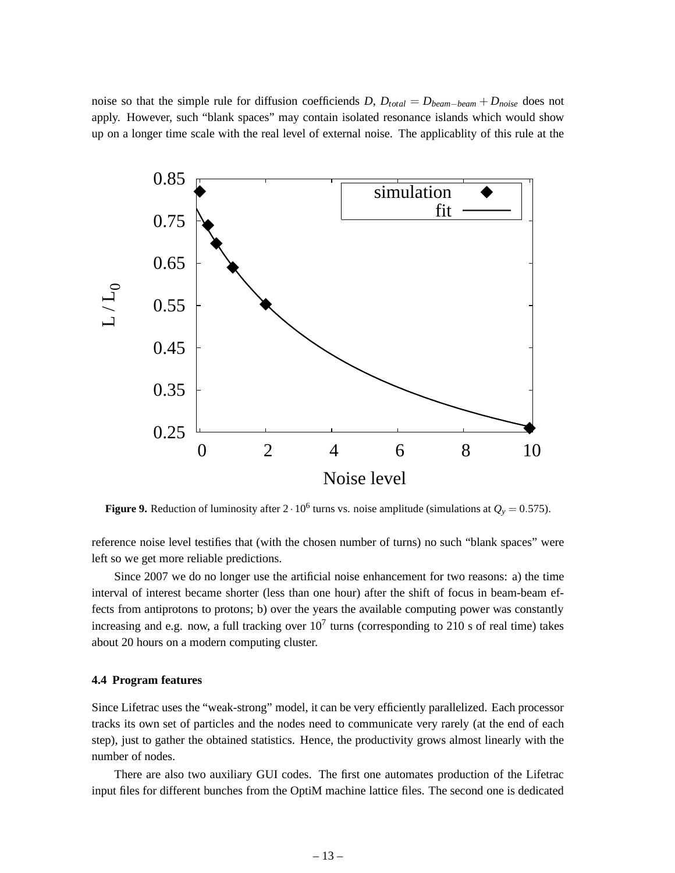<span id="page-13-0"></span>noise so that the simple rule for diffusion coefficiends *D*,  $D_{total} = D_{beam-beam} + D_{noise}$  does not apply. However, such "blank spaces" may contain isolated resonance islands which would show up on a longer time scale with the real level of external noise. The applicablity of this rule at the



**Figure 9.** Reduction of luminosity after  $2 \cdot 10^6$  turns vs. noise amplitude (simulations at  $Q_y = 0.575$ ).

reference noise level testifies that (with the chosen number of turns) no such "blank spaces" were left so we get more reliable predictions.

Since 2007 we do no longer use the artificial noise enhancement for two reasons: a) the time interval of interest became shorter (less than one hour) after the shift of focus in beam-beam effects from antiprotons to protons; b) over the years the available computing power was constantly increasing and e.g. now, a full tracking over  $10<sup>7</sup>$  turns (corresponding to 210 s of real time) takes about 20 hours on a modern computing cluster.

#### **4.4 Program features**

Since Lifetrac uses the "weak-strong" model, it can be very efficiently parallelized. Each processor tracks its own set of particles and the nodes need to communicate very rarely (at the end of each step), just to gather the obtained statistics. Hence, the productivity grows almost linearly with the number of nodes.

There are also two auxiliary GUI codes. The first one automates production of the Lifetrac input files for different bunches from the OptiM machine lattice files. The second one is dedicated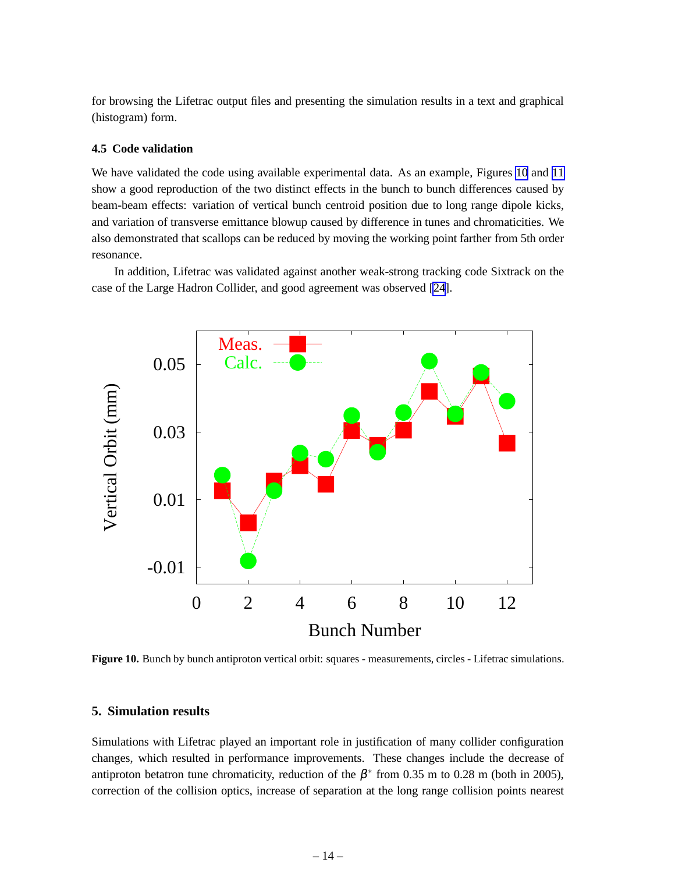<span id="page-14-0"></span>for browsing the Lifetrac output files and presenting the simulation results in a text and graphical (histogram) form.

#### **4.5 Code validation**

We have validated the code using available experimental data. As an example, Figures 10 and [11](#page-15-0) show a good reproduction of the two distinct effects in the bunch to bunch differences caused by beam-beam effects: variation of vertical bunch centroid position due to long range dipole kicks, and variation of transverse emittance blowup caused by difference in tunes and chromaticities. We also demonstrated that scallops can be reduced by moving the working point farther from 5th order resonance.

In addition, Lifetrac was validated against another weak-strong tracking code Sixtrack on the case of the Large Hadron Collider, and good agreement was observed [\[24](#page-23-0)].



**Figure 10.** Bunch by bunch antiproton vertical orbit: squares - measurements, circles - Lifetrac simulations.

#### **5. Simulation results**

Simulations with Lifetrac played an important role in justification of many collider configuration changes, which resulted in performance improvements. These changes include the decrease of antiproton betatron tune chromaticity, reduction of the  $\beta^*$  from 0.35 m to 0.28 m (both in 2005), correction of the collision optics, increase of separation at the long range collision points nearest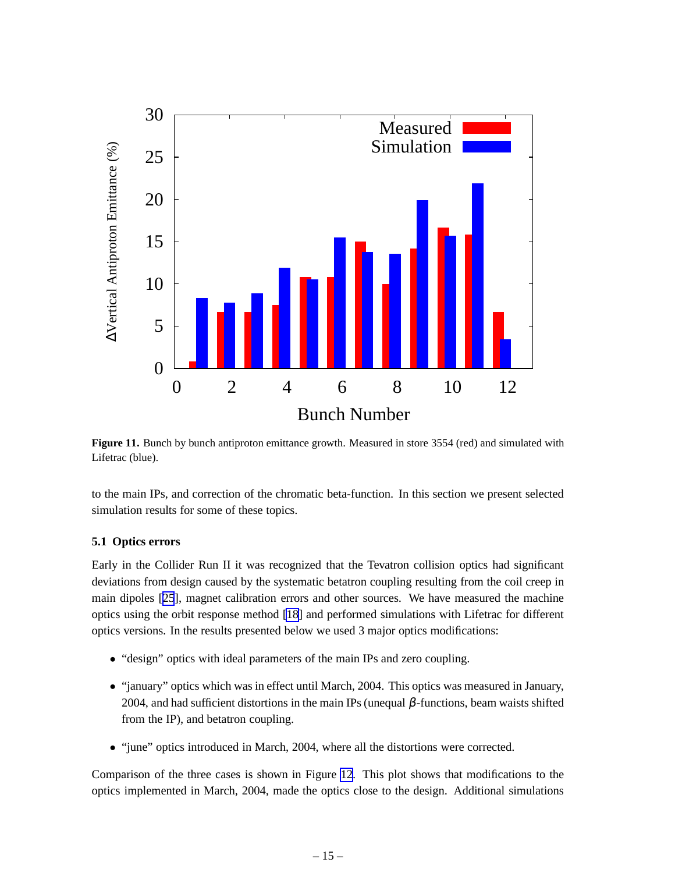<span id="page-15-0"></span>

**Figure 11.** Bunch by bunch antiproton emittance growth. Measured in store 3554 (red) and simulated with Lifetrac (blue).

to the main IPs, and correction of the chromatic beta-function. In this section we present selected simulation results for some of these topics.

## **5.1 Optics errors**

Early in the Collider Run II it was recognized that the Tevatron collision optics had significant deviations from design caused by the systematic betatron coupling resulting from the coil creep in main dipoles [[25](#page-23-0)], magnet calibration errors and other sources. We have measured the machine optics using the orbit response method [\[18](#page-22-0)] and performed simulations with Lifetrac for different optics versions. In the results presented below we used 3 major optics modifications:

- "design" optics with ideal parameters of the main IPs and zero coupling.
- "january" optics which was in effect until March, 2004. This optics was measured in January, 2004, and had sufficient distortions in the main IPs (unequal  $\beta$ -functions, beam waists shifted from the IP), and betatron coupling.
- "june" optics introduced in March, 2004, where all the distortions were corrected.

Comparison of the three cases is shown in Figure [12](#page-16-0). This plot shows that modifications to the optics implemented in March, 2004, made the optics close to the design. Additional simulations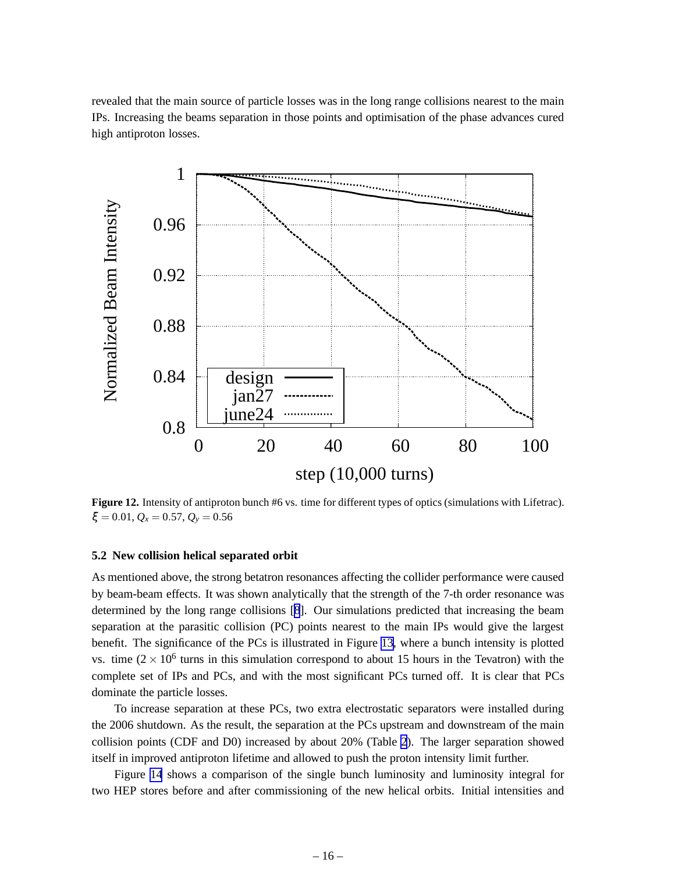<span id="page-16-0"></span>revealed that the main source of particle losses was in the long range collisions nearest to the main IPs. Increasing the beams separation in those points and optimisation of the phase advances cured high antiproton losses.



**Figure 12.** Intensity of antiproton bunch #6 vs. time for different types of optics (simulations with Lifetrac).  $\xi = 0.01, Q_x = 0.57, Q_y = 0.56$ 

#### **5.2 New collision helical separated orbit**

As mentioned above, the strong betatron resonances affecting the collider performance were caused by beam-beam effects. It was shown analytically that the strength of the 7-th order resonance was determined by the long range collisions [\[8](#page-22-0)]. Our simulations predicted that increasing the beam separation at the parasitic collision (PC) points nearest to the main IPs would give the largest benefit. The significance of the PCs is illustrated in Figure [13,](#page-17-0) where a bunch intensity is plotted vs. time  $(2 \times 10^6)$  turns in this simulation correspond to about 15 hours in the Tevatron) with the complete set of IPs and PCs, and with the most significant PCs turned off. It is clear that PCs dominate the particle losses.

To increase separation at these PCs, two extra electrostatic separators were installed during the 2006 shutdown. As the result, the separation at the PCs upstream and downstream of the main collision points (CDF and D0) increased by about 20% (Table [2](#page-17-0)). The larger separation showed itself in improved antiproton lifetime and allowed to push the proton intensity limit further.

Figure [14](#page-18-0) shows a comparison of the single bunch luminosity and luminosity integral for two HEP stores before and after commissioning of the new helical orbits. Initial intensities and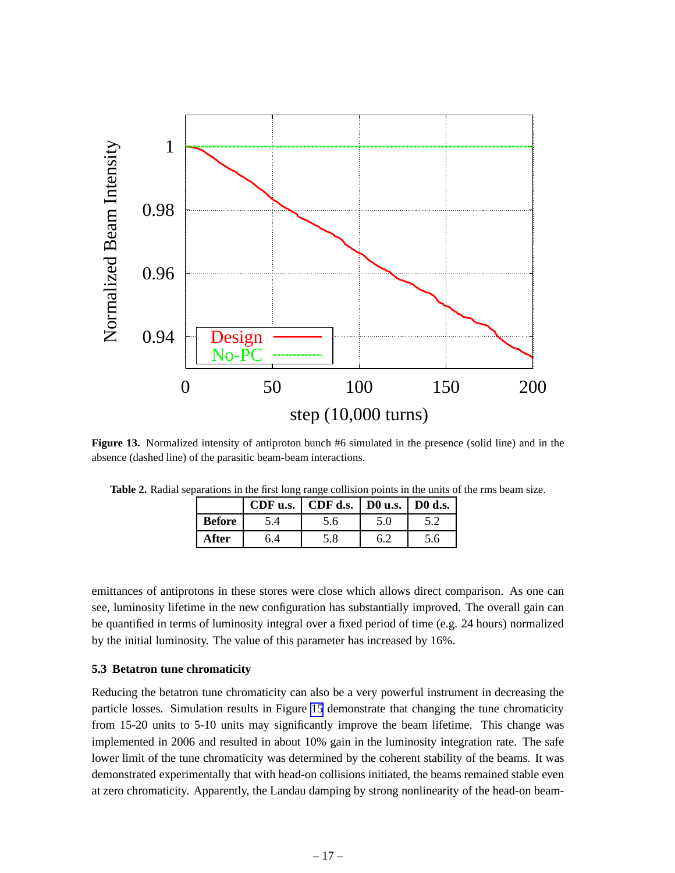<span id="page-17-0"></span>

**Figure 13.** Normalized intensity of antiproton bunch #6 simulated in the presence (solid line) and in the absence (dashed line) of the parasitic beam-beam interactions.

|               |     | CDF u.s. $\vert$ CDF d.s. $\vert$ D0 u.s. $\vert$ D0 d.s. |     |     |
|---------------|-----|-----------------------------------------------------------|-----|-----|
| <b>Before</b> | 5.4 | 5.6                                                       | 5.0 |     |
| After         | 6.4 | 5.8                                                       | 6.2 | 5.6 |

**Table 2.** Radial separations in the first long range collision points in the units of the rms beam size.

emittances of antiprotons in these stores were close which allows direct comparison. As one can see, luminosity lifetime in the new configuration has substantially improved. The overall gain can be quantified in terms of luminosity integral over a fixed period of time (e.g. 24 hours) normalized by the initial luminosity. The value of this parameter has increased by 16%.

## **5.3 Betatron tune chromaticity**

Reducing the betatron tune chromaticity can also be a very powerful instrument in decreasing the particle losses. Simulation results in Figure [15](#page-19-0) demonstrate that changing the tune chromaticity from 15-20 units to 5-10 units may significantly improve the beam lifetime. This change was implemented in 2006 and resulted in about 10% gain in the luminosity integration rate. The safe lower limit of the tune chromaticity was determined by the coherent stability of the beams. It was demonstrated experimentally that with head-on collisions initiated, the beams remained stable even at zero chromaticity. Apparently, the Landau damping by strong nonlinearity of the head-on beam-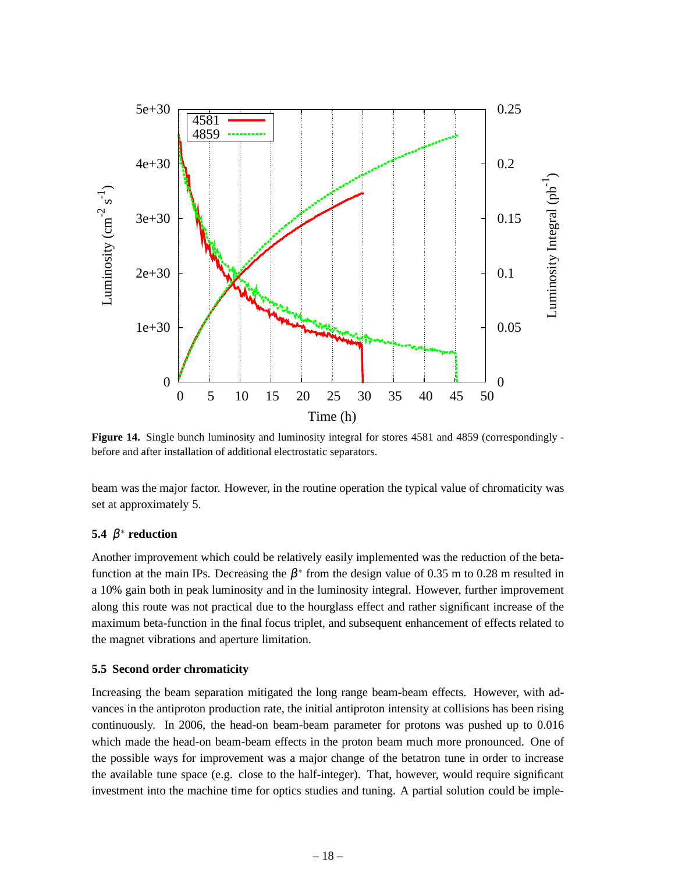<span id="page-18-0"></span>

**Figure 14.** Single bunch luminosity and luminosity integral for stores 4581 and 4859 (correspondingly before and after installation of additional electrostatic separators.

beam was the major factor. However, in the routine operation the typical value of chromaticity was set at approximately 5.

# **5.4**  $\beta^*$  reduction

Another improvement which could be relatively easily implemented was the reduction of the betafunction at the main IPs. Decreasing the  $\beta^*$  from the design value of 0.35 m to 0.28 m resulted in a 10% gain both in peak luminosity and in the luminosity integral. However, further improvement along this route was not practical due to the hourglass effect and rather significant increase of the maximum beta-function in the final focus triplet, and subsequent enhancement of effects related to the magnet vibrations and aperture limitation.

#### **5.5 Second order chromaticity**

Increasing the beam separation mitigated the long range beam-beam effects. However, with advances in the antiproton production rate, the initial antiproton intensity at collisions has been rising continuously. In 2006, the head-on beam-beam parameter for protons was pushed up to 0.016 which made the head-on beam-beam effects in the proton beam much more pronounced. One of the possible ways for improvement was a major change of the betatron tune in order to increase the available tune space (e.g. close to the half-integer). That, however, would require significant investment into the machine time for optics studies and tuning. A partial solution could be imple-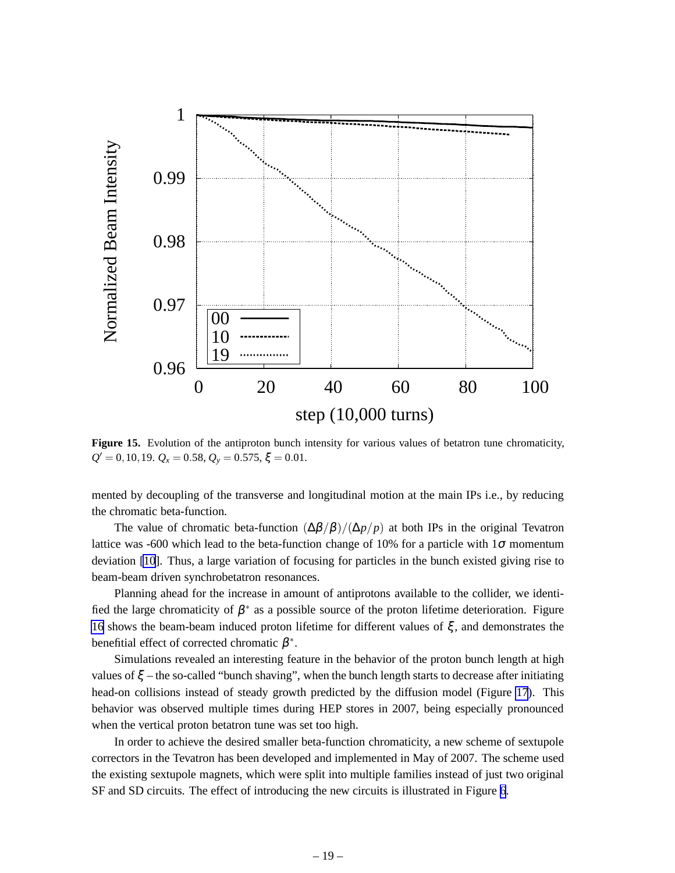<span id="page-19-0"></span>

**Figure 15.** Evolution of the antiproton bunch intensity for various values of betatron tune chromaticity,  $Q' = 0, 10, 19$ .  $Q_x = 0.58$ ,  $Q_y = 0.575$ ,  $\xi = 0.01$ .

mented by decoupling of the transverse and longitudinal motion at the main IPs i.e., by reducing the chromatic beta-function.

The value of chromatic beta-function  $(\Delta \beta/\beta)/(\Delta p/p)$  at both IPs in the original Tevatron lattice was -600 which lead to the beta-function change of 10% for a particle with  $1\sigma$  momentum deviation [\[10](#page-22-0)]. Thus, a large variation of focusing for particles in the bunch existed giving rise to beam-beam driven synchrobetatron resonances.

Planning ahead for the increase in amount of antiprotons available to the collider, we identified the large chromaticity of  $\beta^*$  as a possible source of the proton lifetime deterioration. Figure [16](#page-20-0) shows the beam-beam induced proton lifetime for different values of  $\xi$ , and demonstrates the benefitial effect of corrected chromatic  $\beta^*$ .

Simulations revealed an interesting feature in the behavior of the proton bunch length at high values of  $\xi$  – the so-called "bunch shaving", when the bunch length starts to decrease after initiating head-on collisions instead of steady growth predicted by the diffusion model (Figure [17](#page-21-0)). This behavior was observed multiple times during HEP stores in 2007, being especially pronounced when the vertical proton betatron tune was set too high.

In order to achieve the desired smaller beta-function chromaticity, a new scheme of sextupole correctors in the Tevatron has been developed and implemented in May of 2007. The scheme used the existing sextupole magnets, which were split into multiple families instead of just two original SF and SD circuits. The effect of introducing the new circuits is illustrated in Figure [6](#page-8-0).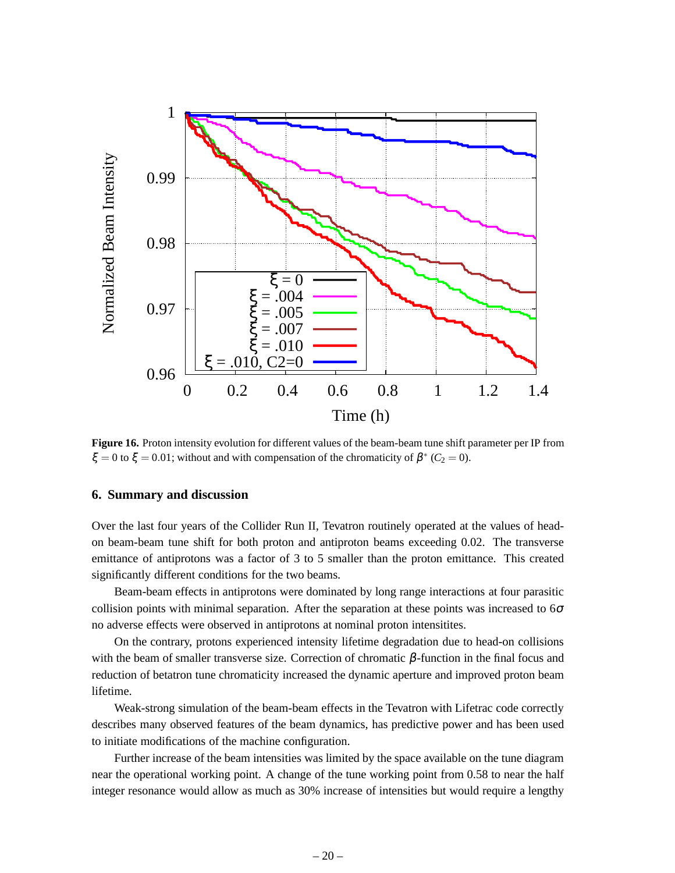<span id="page-20-0"></span>

**Figure 16.** Proton intensity evolution for different values of the beam-beam tune shift parameter per IP from  $\xi = 0$  to  $\xi = 0.01$ ; without and with compensation of the chromaticity of  $\beta^*$  (C<sub>2</sub> = 0).

#### **6. Summary and discussion**

Over the last four years of the Collider Run II, Tevatron routinely operated at the values of headon beam-beam tune shift for both proton and antiproton beams exceeding 0.02. The transverse emittance of antiprotons was a factor of 3 to 5 smaller than the proton emittance. This created significantly different conditions for the two beams.

Beam-beam effects in antiprotons were dominated by long range interactions at four parasitic collision points with minimal separation. After the separation at these points was increased to  $6\sigma$ no adverse effects were observed in antiprotons at nominal proton intensitites.

On the contrary, protons experienced intensity lifetime degradation due to head-on collisions with the beam of smaller transverse size. Correction of chromatic  $\beta$ -function in the final focus and reduction of betatron tune chromaticity increased the dynamic aperture and improved proton beam lifetime.

Weak-strong simulation of the beam-beam effects in the Tevatron with Lifetrac code correctly describes many observed features of the beam dynamics, has predictive power and has been used to initiate modifications of the machine configuration.

Further increase of the beam intensities was limited by the space available on the tune diagram near the operational working point. A change of the tune working point from 0.58 to near the half integer resonance would allow as much as 30% increase of intensities but would require a lengthy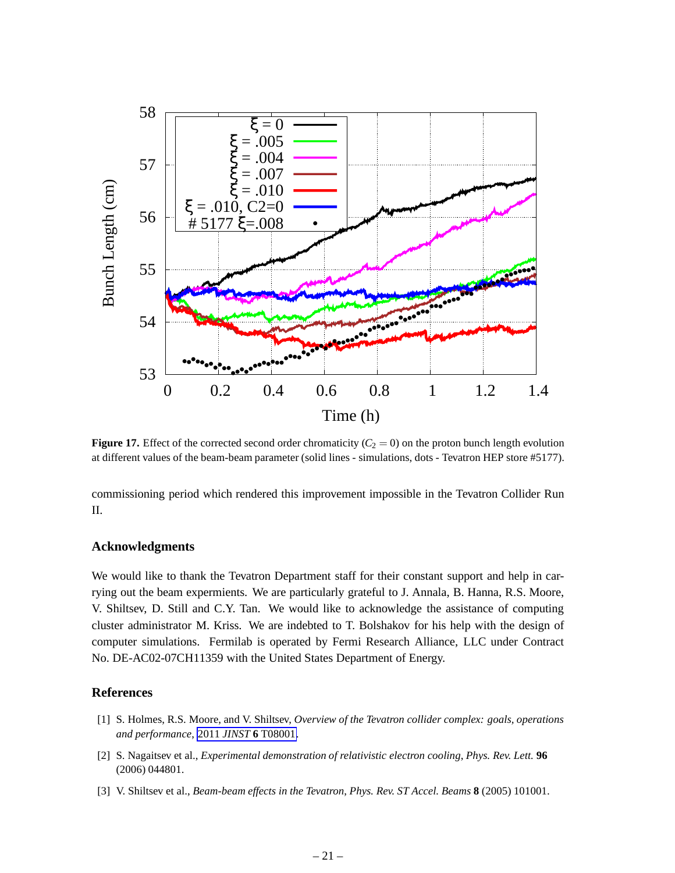<span id="page-21-0"></span>

**Figure 17.** Effect of the corrected second order chromaticity ( $C_2 = 0$ ) on the proton bunch length evolution at different values of the beam-beam parameter (solid lines - simulations, dots - Tevatron HEP store #5177).

commissioning period which rendered this improvement impossible in the Tevatron Collider Run II.

#### **Acknowledgments**

We would like to thank the Tevatron Department staff for their constant support and help in carrying out the beam expermients. We are particularly grateful to J. Annala, B. Hanna, R.S. Moore, V. Shiltsev, D. Still and C.Y. Tan. We would like to acknowledge the assistance of computing cluster administrator M. Kriss. We are indebted to T. Bolshakov for his help with the design of computer simulations. Fermilab is operated by Fermi Research Alliance, LLC under Contract No. DE-AC02-07CH11359 with the United States Department of Energy.

## **References**

- [1] S. Holmes, R.S. Moore, and V. Shiltsev, *Overview of the Tevatron collider complex: goals, operations and performance*, 2011 *JINST* **6** [T08001.](http://www.iop.org/EJ/abstract/1748-0221/6/08/T08001)
- [2] S. Nagaitsev et al., *Experimental demonstration of relativistic electron cooling*, *Phys. Rev. Lett.* **96** (2006) 044801.
- [3] V. Shiltsev et al., *Beam-beam effects in the Tevatron*, *Phys. Rev. ST Accel. Beams* **8** (2005) 101001.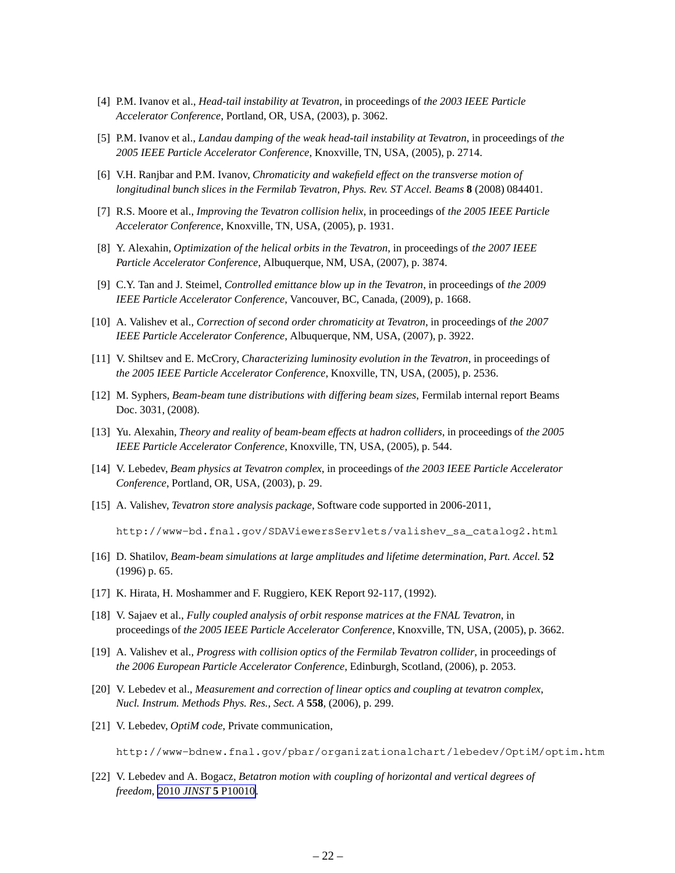- <span id="page-22-0"></span>[4] P.M. Ivanov et al., *Head-tail instability at Tevatron*, in proceedings of *the 2003 IEEE Particle Accelerator Conference*, Portland, OR, USA, (2003), p. 3062.
- [5] P.M. Ivanov et al., *Landau damping of the weak head-tail instability at Tevatron*, in proceedings of *the 2005 IEEE Particle Accelerator Conference*, Knoxville, TN, USA, (2005), p. 2714.
- [6] V.H. Ranjbar and P.M. Ivanov, *Chromaticity and wakefield effect on the transverse motion of longitudinal bunch slices in the Fermilab Tevatron*, *Phys. Rev. ST Accel. Beams* **8** (2008) 084401.
- [7] R.S. Moore et al., *Improving the Tevatron collision helix*, in proceedings of *the 2005 IEEE Particle Accelerator Conference*, Knoxville, TN, USA, (2005), p. 1931.
- [8] Y. Alexahin, *Optimization of the helical orbits in the Tevatron*, in proceedings of *the 2007 IEEE Particle Accelerator Conference*, Albuquerque, NM, USA, (2007), p. 3874.
- [9] C.Y. Tan and J. Steimel, *Controlled emittance blow up in the Tevatron*, in proceedings of *the 2009 IEEE Particle Accelerator Conference*, Vancouver, BC, Canada, (2009), p. 1668.
- [10] A. Valishev et al., *Correction of second order chromaticity at Tevatron*, in proceedings of *the 2007 IEEE Particle Accelerator Conference*, Albuquerque, NM, USA, (2007), p. 3922.
- [11] V. Shiltsev and E. McCrory, *Characterizing luminosity evolution in the Tevatron*, in proceedings of *the 2005 IEEE Particle Accelerator Conference*, Knoxville, TN, USA, (2005), p. 2536.
- [12] M. Syphers, *Beam-beam tune distributions with differing beam sizes*, Fermilab internal report Beams Doc. 3031, (2008).
- [13] Yu. Alexahin, *Theory and reality of beam-beam effects at hadron colliders*, in proceedings of *the 2005 IEEE Particle Accelerator Conference*, Knoxville, TN, USA, (2005), p. 544.
- [14] V. Lebedev, *Beam physics at Tevatron complex*, in proceedings of *the 2003 IEEE Particle Accelerator Conference*, Portland, OR, USA, (2003), p. 29.
- [15] A. Valishev, *Tevatron store analysis package*, Software code supported in 2006-2011,

http://www-bd.fnal.gov/SDAViewersServlets/valishev\_sa\_catalog2.html

- [16] D. Shatilov, *Beam-beam simulations at large amplitudes and lifetime determination*, *Part. Accel.* **52** (1996) p. 65.
- [17] K. Hirata, H. Moshammer and F. Ruggiero, KEK Report 92-117, (1992).
- [18] V. Sajaev et al., *Fully coupled analysis of orbit response matrices at the FNAL Tevatron*, in proceedings of *the 2005 IEEE Particle Accelerator Conference*, Knoxville, TN, USA, (2005), p. 3662.
- [19] A. Valishev et al., *Progress with collision optics of the Fermilab Tevatron collider*, in proceedings of *the 2006 European Particle Accelerator Conference*, Edinburgh, Scotland, (2006), p. 2053.
- [20] V. Lebedev et al., *Measurement and correction of linear optics and coupling at tevatron complex*, *Nucl. Instrum. Methods Phys. Res., Sect. A* **558**, (2006), p. 299.
- [21] V. Lebedev, *OptiM code*, Private communication,

http://www-bdnew.fnal.gov/pbar/organizationalchart/lebedev/OptiM/optim.htm

[22] V. Lebedev and A. Bogacz, *Betatron motion with coupling of horizontal and vertical degrees of freedom*, 2010 *JINST* **5** [P10010.](http://www.iop.org/EJ/abstract/1748-0221/5/10/P10010)